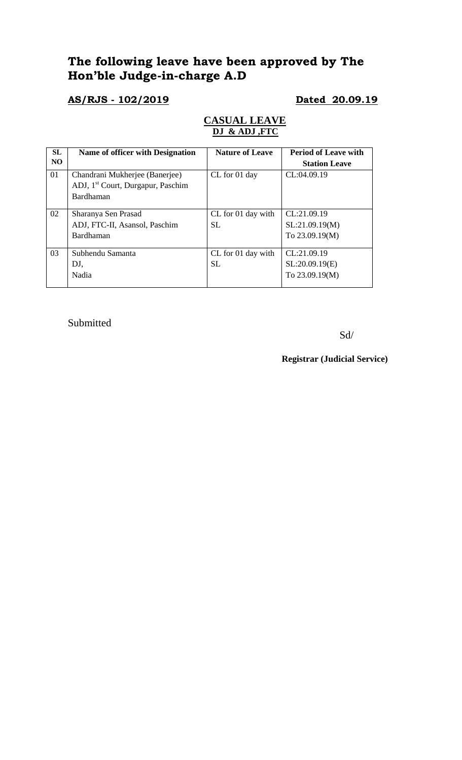# **The following leave have been approved by The Hon'ble Judge-in-charge A.D**

## **AS/RJS - 102/2019 Dated 20.09.19**

### **CASUAL LEAVE DJ & ADJ ,FTC**

| SL<br>N <sub>O</sub> | Name of officer with Designation              | <b>Nature of Leave</b> | <b>Period of Leave with</b> |
|----------------------|-----------------------------------------------|------------------------|-----------------------------|
|                      |                                               |                        | <b>Station Leave</b>        |
| 01                   | Chandrani Mukherjee (Banerjee)                | CL for 01 day          | CL:04.09.19                 |
|                      | ADJ, 1 <sup>st</sup> Court, Durgapur, Paschim |                        |                             |
|                      | Bardhaman                                     |                        |                             |
|                      |                                               |                        |                             |
| 02                   | Sharanya Sen Prasad                           | CL for 01 day with     | CL:21.09.19                 |
|                      | ADJ, FTC-II, Asansol, Paschim                 | <b>SL</b>              | SL:21.09.19(M)              |
|                      | Bardhaman                                     |                        | To 23.09.19(M)              |
|                      |                                               |                        |                             |
| 03                   | Subhendu Samanta                              | CL for 01 day with     | CL:21.09.19                 |
|                      | DJ,                                           | <b>SL</b>              | SL:20.09.19(E)              |
|                      | Nadia                                         |                        | To 23.09.19(M)              |
|                      |                                               |                        |                             |

Submitted

Sd/

**Registrar (Judicial Service)**